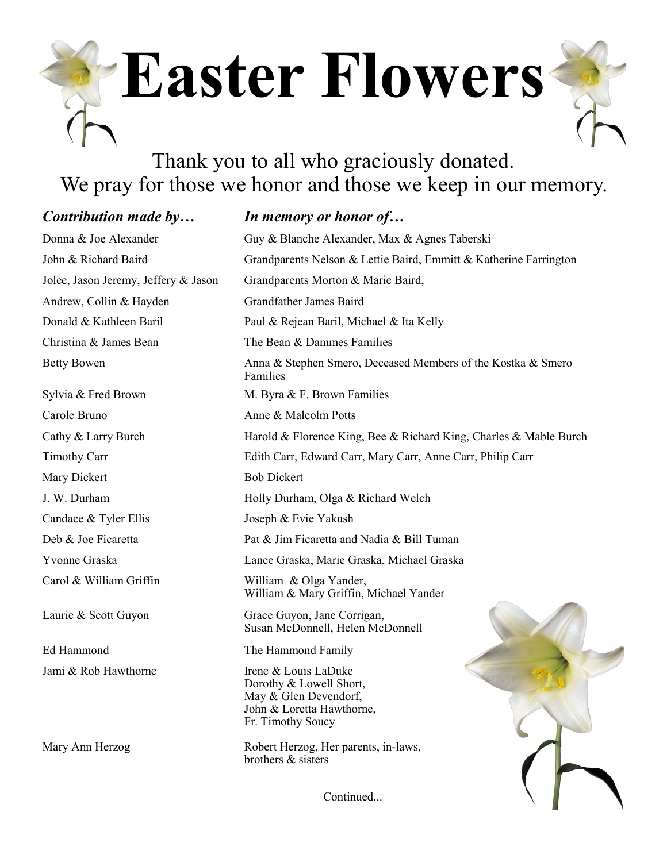# **Easter Flowers**

## Thank you to all who graciously donated. We pray for those we honor and those we keep in our memory.

### *Contribution made by… In memory or honor of…*

Donna & Joe Alexander Guy & Blanche Alexander, Max & Agnes Taberski John & Richard Baird Grandparents Nelson & Lettie Baird, Emmitt & Katherine Farrington Jolee, Jason Jeremy, Jeffery & Jason Grandparents Morton & Marie Baird, Andrew, Collin & Hayden Grandfather James Baird Donald & Kathleen Baril Paul & Rejean Baril, Michael & Ita Kelly Christina & James Bean The Bean & Dammes Families Betty Bowen **Anna & Stephen Smero, Deceased Members of the Kostka & Smero** Families Sylvia & Fred Brown M. Byra & F. Brown Families Carole Bruno **Anne & Malcolm Potts** Cathy & Larry Burch Harold & Florence King, Bee & Richard King, Charles & Mable Burch Timothy Carr Edith Carr, Edward Carr, Mary Carr, Anne Carr, Philip Carr Mary Dickert Bob Dickert J. W. Durham Holly Durham, Olga & Richard Welch Candace & Tyler Ellis Joseph & Evie Yakush Deb & Joe Ficaretta Pat & Jim Ficaretta and Nadia & Bill Tuman Yvonne Graska Lance Graska, Marie Graska, Michael Graska Carol & William Griffin William & Olga Yander, William & Mary Griffin, Michael Yander Laurie & Scott Guyon Grace Guyon, Jane Corrigan, Susan McDonnell, Helen McDonnell Ed Hammond The Hammond Family Jami & Rob Hawthorne Irene & Louis LaDuke Dorothy & Lowell Short, May & Glen Devendorf, John & Loretta Hawthorne, Fr. Timothy Soucy

Mary Ann Herzog Robert Herzog, Her parents, in-laws, brothers & sisters

Continued...